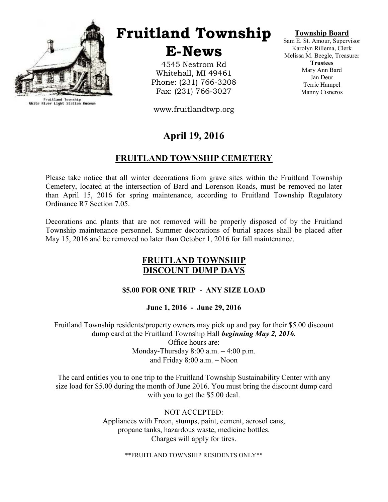

Fruitland Township<br>White River Light Station Museum

## Fruitland Township

E-News

4545 Nestrom Rd Whitehall, MI 49461 Phone: (231) 766-3208 Fax: (231) 766-3027

www.fruitlandtwp.org

## April 19, 2016

## FRUITLAND TOWNSHIP CEMETERY

Please take notice that all winter decorations from grave sites within the Fruitland Township Cemetery, located at the intersection of Bard and Lorenson Roads, must be removed no later than April 15, 2016 for spring maintenance, according to Fruitland Township Regulatory Ordinance R7 Section 7.05.

Decorations and plants that are not removed will be properly disposed of by the Fruitland Township maintenance personnel. Summer decorations of burial spaces shall be placed after May 15, 2016 and be removed no later than October 1, 2016 for fall maintenance.

#### FRUITLAND TOWNSHIP DISCOUNT DUMP DAYS

#### \$5.00 FOR ONE TRIP - ANY SIZE LOAD

June 1, 2016 - June 29, 2016

Fruitland Township residents/property owners may pick up and pay for their \$5.00 discount dump card at the Fruitland Township Hall *beginning May 2, 2016*. Office hours are: Monday-Thursday  $8:00$  a.m.  $-4:00$  p.m. and Friday 8:00 a.m. – Noon

The card entitles you to one trip to the Fruitland Township Sustainability Center with any size load for \$5.00 during the month of June 2016. You must bring the discount dump card with you to get the \$5.00 deal.

> NOT ACCEPTED: Appliances with Freon, stumps, paint, cement, aerosol cans, propane tanks, hazardous waste, medicine bottles. Charges will apply for tires.

> > \*\*FRUITLAND TOWNSHIP RESIDENTS ONLY\*\*

#### Township Board

Sam E. St. Amour, Supervisor Karolyn Rillema, Clerk Melissa M. Beegle, Treasurer **Trustees** Mary Ann Bard Jan Deur Terrie Hampel Manny Cisneros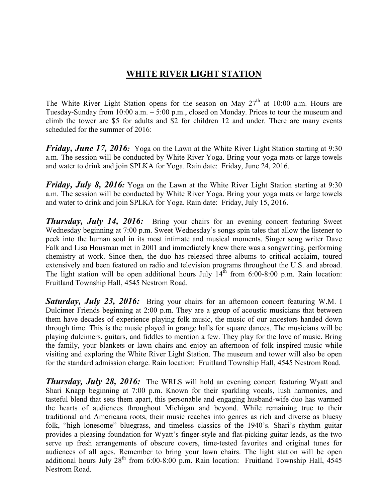### WHITE RIVER LIGHT STATION

The White River Light Station opens for the season on May  $27<sup>th</sup>$  at 10:00 a.m. Hours are Tuesday-Sunday from 10:00 a.m. – 5:00 p.m., closed on Monday. Prices to tour the museum and climb the tower are \$5 for adults and \$2 for children 12 and under. There are many events scheduled for the summer of 2016:

**Friday, June 17, 2016:** Yoga on the Lawn at the White River Light Station starting at 9:30 a.m. The session will be conducted by White River Yoga. Bring your yoga mats or large towels and water to drink and join SPLKA for Yoga. Rain date: Friday, June 24, 2016.

**Friday, July 8, 2016:** Yoga on the Lawn at the White River Light Station starting at 9:30 a.m. The session will be conducted by White River Yoga. Bring your yoga mats or large towels and water to drink and join SPLKA for Yoga. Rain date: Friday, July 15, 2016.

**Thursday, July 14, 2016:** Bring your chairs for an evening concert featuring Sweet Wednesday beginning at 7:00 p.m. Sweet Wednesday's songs spin tales that allow the listener to peek into the human soul in its most intimate and musical moments. Singer song writer Dave Falk and Lisa Housman met in 2001 and immediately knew there was a songwriting, performing chemistry at work. Since then, the duo has released three albums to critical acclaim, toured extensively and been featured on radio and television programs throughout the U.S. and abroad. The light station will be open additional hours July  $14^{th}$  from 6:00-8:00 p.m. Rain location: Fruitland Township Hall, 4545 Nestrom Road.

**Saturday, July 23, 2016:** Bring your chairs for an afternoon concert featuring W.M. I Dulcimer Friends beginning at 2:00 p.m. They are a group of acoustic musicians that between them have decades of experience playing folk music, the music of our ancestors handed down through time. This is the music played in grange halls for square dances. The musicians will be playing dulcimers, guitars, and fiddles to mention a few. They play for the love of music. Bring the family, your blankets or lawn chairs and enjoy an afternoon of folk inspired music while visiting and exploring the White River Light Station. The museum and tower will also be open for the standard admission charge. Rain location: Fruitland Township Hall, 4545 Nestrom Road.

**Thursday, July 28, 2016:** The WRLS will hold an evening concert featuring Wyatt and Shari Knapp beginning at 7:00 p.m. Known for their sparkling vocals, lush harmonies, and tasteful blend that sets them apart, this personable and engaging husband-wife duo has warmed the hearts of audiences throughout Michigan and beyond. While remaining true to their traditional and Americana roots, their music reaches into genres as rich and diverse as bluesy folk, "high lonesome" bluegrass, and timeless classics of the 1940's. Shari's rhythm guitar provides a pleasing foundation for Wyatt's finger-style and flat-picking guitar leads, as the two serve up fresh arrangements of obscure covers, time-tested favorites and original tunes for audiences of all ages. Remember to bring your lawn chairs. The light station will be open additional hours July 28<sup>th</sup> from 6:00-8:00 p.m. Rain location: Fruitland Township Hall, 4545 Nestrom Road.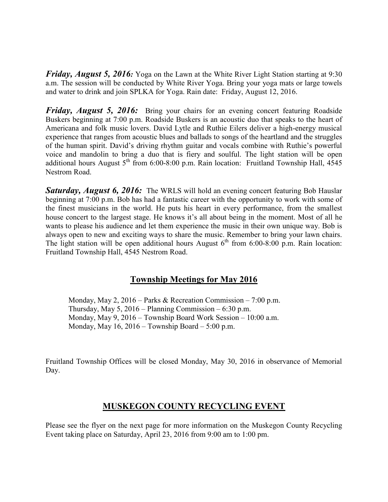**Friday, August 5, 2016:** Yoga on the Lawn at the White River Light Station starting at 9:30 a.m. The session will be conducted by White River Yoga. Bring your yoga mats or large towels and water to drink and join SPLKA for Yoga. Rain date: Friday, August 12, 2016.

Friday, August 5, 2016: Bring your chairs for an evening concert featuring Roadside Buskers beginning at 7:00 p.m. Roadside Buskers is an acoustic duo that speaks to the heart of Americana and folk music lovers. David Lytle and Ruthie Eilers deliver a high-energy musical experience that ranges from acoustic blues and ballads to songs of the heartland and the struggles of the human spirit. David's driving rhythm guitar and vocals combine with Ruthie's powerful voice and mandolin to bring a duo that is fiery and soulful. The light station will be open additional hours August  $5<sup>th</sup>$  from 6:00-8:00 p.m. Rain location: Fruitland Township Hall, 4545 Nestrom Road.

Saturday, August 6, 2016: The WRLS will hold an evening concert featuring Bob Hauslar beginning at 7:00 p.m. Bob has had a fantastic career with the opportunity to work with some of the finest musicians in the world. He puts his heart in every performance, from the smallest house concert to the largest stage. He knows it's all about being in the moment. Most of all he wants to please his audience and let them experience the music in their own unique way. Bob is always open to new and exciting ways to share the music. Remember to bring your lawn chairs. The light station will be open additional hours August  $6<sup>th</sup>$  from 6:00-8:00 p.m. Rain location: Fruitland Township Hall, 4545 Nestrom Road.

### Township Meetings for May 2016

 Monday, May 2, 2016 – Parks & Recreation Commission – 7:00 p.m. Thursday, May  $5$ , 2016 – Planning Commission – 6:30 p.m. Monday, May 9, 2016 – Township Board Work Session – 10:00 a.m. Monday, May  $16$ ,  $2016$  – Township Board – 5:00 p.m.

Fruitland Township Offices will be closed Monday, May 30, 2016 in observance of Memorial Day.

### MUSKEGON COUNTY RECYCLING EVENT

Please see the flyer on the next page for more information on the Muskegon County Recycling Event taking place on Saturday, April 23, 2016 from 9:00 am to 1:00 pm.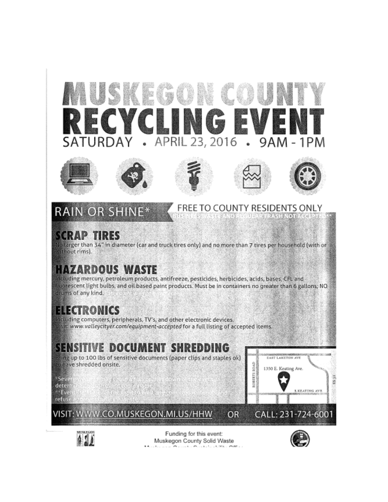APRIL 23, 2016 TURD 9AM  $\ddot{\phantom{0}}$  $\overline{\phantom{a}}$ 1 P M ΑY  $\ddot{\phantom{a}}$ 









FREE TO COUNTY RESIDENTS ONLY



RASH NOT ACCEPTED.

# **RAIN OR SHIN**

## **SCRAP TIRES**

No larger than 34" in diameter (car and truck tires only) and no more than 7 tires per household (with or without rims).

# **HAZARDOUS WASTE**

Including mercury, petroleum products, antifreeze, pesticides, herbicides, acids, bases, CFL and fluorescent light bulbs, and oil based paint products. Must be in containers no greater than 6 gallons; NO drums of any kind.

# ELECTRONICS

Including computers, peripherals, TV's, and other electronic devices. Nisit: www.valleycityer.com/equipment-accepted for a full listing of accepted items.

# SENSITIVE DOCUMENT SHREDDING

Bring up to 100 lbs of sensitive documents (paper clips and staples ok) to have shredded onsite.

<sup>=</sup>Sevel a di come continuati.<br>A concello dell'Inte determina A-Event 4

refuse a graces

VISIT: WWW.CO.MUSKEGON.MI.US/HHW





Funding for this event: Muskegon County Solid Waste Andreas Arrivante de Carlos de Car

**OR** 

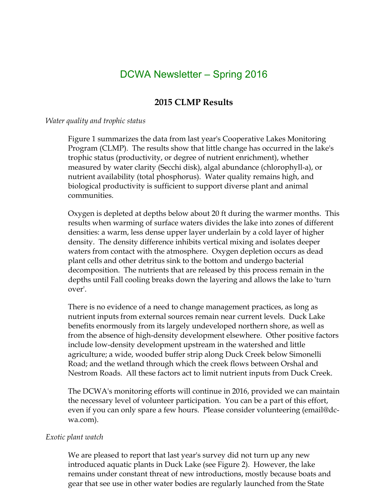## DCWA Newsletter – Spring 2016

## 2015 CLMP Results

#### Water quality and trophic status

Figure 1 summarizes the data from last year's Cooperative Lakes Monitoring Program (CLMP). The results show that little change has occurred in the lake's trophic status (productivity, or degree of nutrient enrichment), whether measured by water clarity (Secchi disk), algal abundance (chlorophyll-a), or nutrient availability (total phosphorus). Water quality remains high, and biological productivity is sufficient to support diverse plant and animal communities.

Oxygen is depleted at depths below about 20 ft during the warmer months. This results when warming of surface waters divides the lake into zones of different densities: a warm, less dense upper layer underlain by a cold layer of higher density. The density difference inhibits vertical mixing and isolates deeper waters from contact with the atmosphere. Oxygen depletion occurs as dead plant cells and other detritus sink to the bottom and undergo bacterial decomposition. The nutrients that are released by this process remain in the depths until Fall cooling breaks down the layering and allows the lake to 'turn over'.

There is no evidence of a need to change management practices, as long as nutrient inputs from external sources remain near current levels. Duck Lake benefits enormously from its largely undeveloped northern shore, as well as from the absence of high-density development elsewhere. Other positive factors include low-density development upstream in the watershed and little agriculture; a wide, wooded buffer strip along Duck Creek below Simonelli Road; and the wetland through which the creek flows between Orshal and Nestrom Roads. All these factors act to limit nutrient inputs from Duck Creek.

The DCWA's monitoring efforts will continue in 2016, provided we can maintain the necessary level of volunteer participation. You can be a part of this effort, even if you can only spare a few hours. Please consider volunteering (email@dcwa.com).

#### Exotic plant watch

We are pleased to report that last year's survey did not turn up any new introduced aquatic plants in Duck Lake (see Figure 2). However, the lake remains under constant threat of new introductions, mostly because boats and gear that see use in other water bodies are regularly launched from the State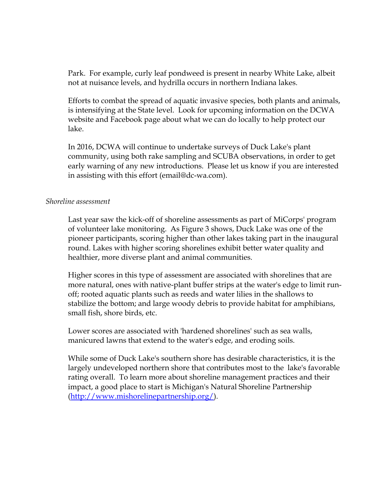Park. For example, curly leaf pondweed is present in nearby White Lake, albeit not at nuisance levels, and hydrilla occurs in northern Indiana lakes.

Efforts to combat the spread of aquatic invasive species, both plants and animals, is intensifying at the State level. Look for upcoming information on the DCWA website and Facebook page about what we can do locally to help protect our lake.

In 2016, DCWA will continue to undertake surveys of Duck Lake's plant community, using both rake sampling and SCUBA observations, in order to get early warning of any new introductions. Please let us know if you are interested in assisting with this effort (email@dc-wa.com).

#### Shoreline assessment

Last year saw the kick-off of shoreline assessments as part of MiCorps' program of volunteer lake monitoring. As Figure 3 shows, Duck Lake was one of the pioneer participants, scoring higher than other lakes taking part in the inaugural round. Lakes with higher scoring shorelines exhibit better water quality and healthier, more diverse plant and animal communities.

Higher scores in this type of assessment are associated with shorelines that are more natural, ones with native-plant buffer strips at the water's edge to limit runoff; rooted aquatic plants such as reeds and water lilies in the shallows to stabilize the bottom; and large woody debris to provide habitat for amphibians, small fish, shore birds, etc.

Lower scores are associated with 'hardened shorelines' such as sea walls, manicured lawns that extend to the water's edge, and eroding soils.

While some of Duck Lake's southern shore has desirable characteristics, it is the largely undeveloped northern shore that contributes most to the lake's favorable rating overall. To learn more about shoreline management practices and their impact, a good place to start is Michigan's Natural Shoreline Partnership (http://www.mishorelinepartnership.org/).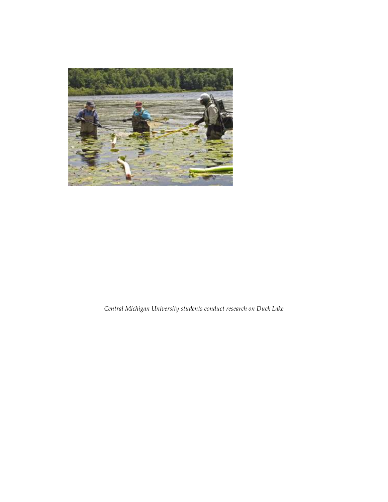

Central Michigan University students conduct research on Duck Lake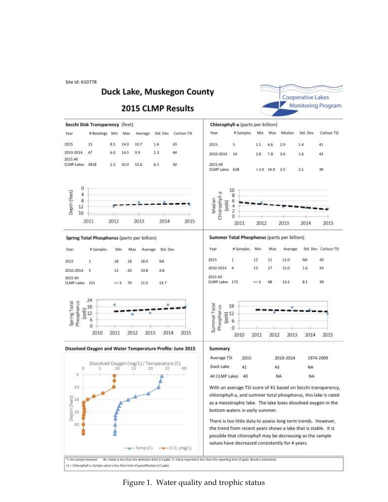Site Id: 610778

#### Duck Lake, Muskegon County

#### **2015 CLMP Results**





Figure 1. Water quality and trophic status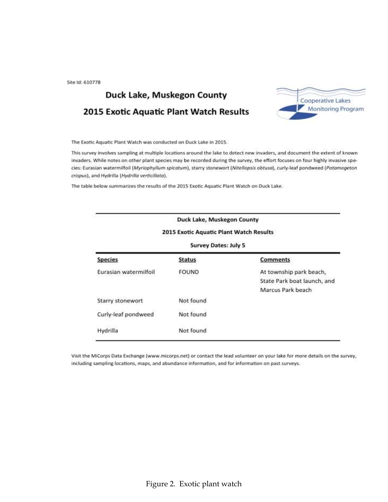Site Id: 610778

## Duck Lake, Muskegon County 2015 Exotic Aquatic Plant Watch Results



The Exotic Aquatic Plant Watch was conducted on Duck Lake in 2015.

This survey involves sampling at multiple locations around the lake to detect new invaders, and document the extent of known invaders. While notes on other plant species may be recorded during the survey, the effort focuses on four highly invasive species: Eurasian watermilfoil (Myriophyllum spicatum), starry stonewort (Nitellopsis obtusa), curly-leaf pondweed (Potamogeton crispus), and Hydrilla (Hydrilla verticillata).

The table below summarizes the results of the 2015 Exotic Aquatic Plant Watch on Duck Lake.

|                             | Duck Lake, Muskegon County              |                                                                             |  |  |  |  |  |
|-----------------------------|-----------------------------------------|-----------------------------------------------------------------------------|--|--|--|--|--|
|                             | 2015 Exotic Aquatic Plant Watch Results |                                                                             |  |  |  |  |  |
| <b>Survey Dates: July 5</b> |                                         |                                                                             |  |  |  |  |  |
| <b>Species</b>              | <b>Status</b>                           | <b>Comments</b>                                                             |  |  |  |  |  |
| Eurasian watermilfoil       | <b>FOUND</b>                            | At township park beach,<br>State Park boat launch, and<br>Marcus Park beach |  |  |  |  |  |
| Starry stonewort            | Not found                               |                                                                             |  |  |  |  |  |
| Curly-leaf pondweed         | Not found                               |                                                                             |  |  |  |  |  |
| Hydrilla                    | Not found                               |                                                                             |  |  |  |  |  |

Visit the MiCorps Data Exchange {www.micorps.net} or contact the lead volunteer on your lake for more details on the survey, including sampling locations, maps, and abundance information, and for information on past surveys.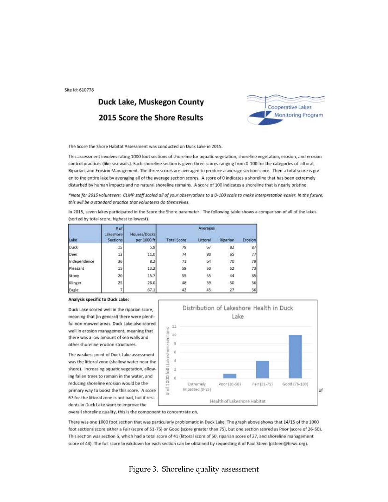Site Id: 610778

## Duck Lake, Muskegon County 2015 Score the Shore Results



The Score the Shore Habitat Assessment was conducted on Duck Lake in 2015.

This assessment involves rating 1000 foot sections of shoreline for aquatic vegetation, shoreline vegetation, erosion, and erosion control practices (like sea walls). Each shoreline section is given three scores ranging from 0-100 for the categories of Littoral, Riparian, and Erosion Management. The three scores are averaged to produce a average section score. Then a total score is given to the entire lake by averaging all of the average section scores. A score of 0 indicates a shoreline that has been extremely disturbed by human impacts and no natural shoreline remains. A score of 100 indicates a shoreline that is nearly pristine.

\*Note for 2015 volunteers: CLMP staff scaled all of your observations to a 0-100 scale to make interpretation easier. In the future, this will be a standard practice that volunteers do themselves.

In 2015, seven lakes participated in the Score the Shore parameter. The following table shows a comparison of all of the lakes (sorted by total score, highest to lowest).

| Lake         | $N$ of<br>Lakeshore<br><b>Sections</b> | Houses/Docks<br>per 1000 ft | Averages           |          |          |         |
|--------------|----------------------------------------|-----------------------------|--------------------|----------|----------|---------|
|              |                                        |                             | <b>Total Score</b> | Littoral | Riparian | Erosion |
| Duck         | 15                                     | 5.9                         | 79                 | 67       | 82       | 87      |
| Deer         | 13                                     | 11.0                        | 74                 | 80       | 65       | 77      |
| Independence | 36                                     | 8.2                         | $-71$              | 64       | 70       | 79      |
| Pleasant     | 15                                     | 13.2                        | 58                 | 50       | 52       | 73      |
| Stony        | 20                                     | 15.7                        | 55                 | 55       | 44       | 65      |
| Klinger      | 25                                     | 28.0                        | 48                 | 39       | 50       | 56      |
| Eagle        |                                        | 67.1                        | 42                 | 45.      | 27       | 56      |

#### Analysis specific to Duck Lake:

Duck Lake scored well in the riparian score, meaning that (in general) there were plentiful non-mowed areas. Duck Lake also scored well in erosion management, meaning that there was a low amount of sea walls and other shoreline erosion structures.

The weakest point of Duck Lake assessment was the littoral zone (shallow water near the shore). Increasing aquatic vegetation, allowing fallen trees to remain in the water, and reducing shoreline erosion would be the primary way to boost the this score. A score 67 for the littoral zone is not bad, but if residents in Duck Lake want to improve the



overall shoreline quality, this is the component to concentrate on.

There was one 1000 foot section that was particularly problematic in Duck Lake. The graph above shows that 14/15 of the 1000 foot sections score either a Fair (score of 51-75) or Good (score greater than 75), but one section scored as Poor (score of 26-50). This section was section 5, which had a total score of 41 (littoral score of 50, riparian score of 27, and shoreline management score of 44). The full score breakdown for each section can be obtained by requesting it of Paul Steen (psteen@hrwc.org).

#### Figure 3. Shoreline quality assessment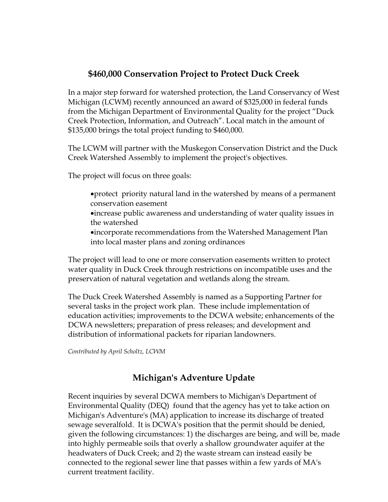## \$460,000 Conservation Project to Protect Duck Creek

In a major step forward for watershed protection, the Land Conservancy of West Michigan (LCWM) recently announced an award of \$325,000 in federal funds from the Michigan Department of Environmental Quality for the project "Duck Creek Protection, Information, and Outreach". Local match in the amount of \$135,000 brings the total project funding to \$460,000.

The LCWM will partner with the Muskegon Conservation District and the Duck Creek Watershed Assembly to implement the project's objectives.

The project will focus on three goals:

- •protect priority natural land in the watershed by means of a permanent conservation easement •increase public awareness and understanding of water quality issues in the watershed
- •incorporate recommendations from the Watershed Management Plan into local master plans and zoning ordinances

The project will lead to one or more conservation easements written to protect water quality in Duck Creek through restrictions on incompatible uses and the preservation of natural vegetation and wetlands along the stream.

The Duck Creek Watershed Assembly is named as a Supporting Partner for several tasks in the project work plan. These include implementation of education activities; improvements to the DCWA website; enhancements of the DCWA newsletters; preparation of press releases; and development and distribution of informational packets for riparian landowners.

Contributed by April Scholtz, LCWM

### Michigan's Adventure Update

Recent inquiries by several DCWA members to Michigan's Department of Environmental Quality (DEQ) found that the agency has yet to take action on Michigan's Adventure's (MA) application to increase its discharge of treated sewage severalfold. It is DCWA's position that the permit should be denied, given the following circumstances: 1) the discharges are being, and will be, made into highly permeable soils that overly a shallow groundwater aquifer at the headwaters of Duck Creek; and 2) the waste stream can instead easily be connected to the regional sewer line that passes within a few yards of MA's current treatment facility.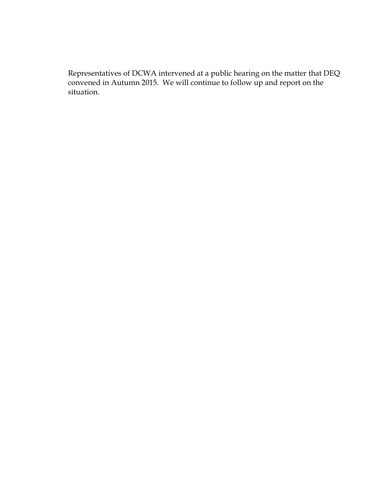Representatives of DCWA intervened at a public hearing on the matter that DEQ convened in Autumn 2015. We will continue to follow up and report on the situation.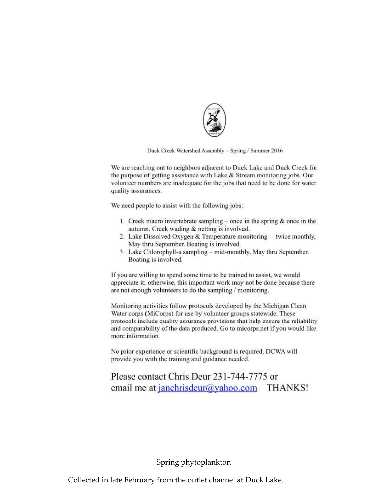

Duck Creek Watershed Assembly - Spring / Summer 2016

We are reaching out to neighbors adjacent to Duck Lake and Duck Creek for the purpose of getting assistance with Lake & Stream monitoring jobs. Our volunteer numbers are inadequate for the jobs that need to be done for water quality assurances.

We need people to assist with the following jobs:

- 1. Creek macro invertebrate sampling once in the spring  $\&$  once in the autumn. Creek wading & netting is involved.
- 2. Lake Dissolved Oxygen & Temperature monitoring twice monthly, May thru September. Boating is involved.
- 3. Lake Chlorophyll-a sampling mid-monthly, May thru September. Boating is involved.

If you are willing to spend some time to be trained to assist, we would appreciate it; otherwise, this important work may not be done because there are not enough volunteers to do the sampling / monitoring.

Monitoring activities follow protocols developed by the Michigan Clean Water corps (MiCorps) for use by volunteer groups statewide. These protocols include quality assurance provisions that help ensure the reliability and comparability of the data produced. Go to micorps net if you would like more information.

No prior experience or scientific background is required. DCWA will provide you with the training and guidance needed.

## Please contact Chris Deur 231-744-7775 or email me at janchrisdeur@yahoo.com THANKS!

#### Spring phytoplankton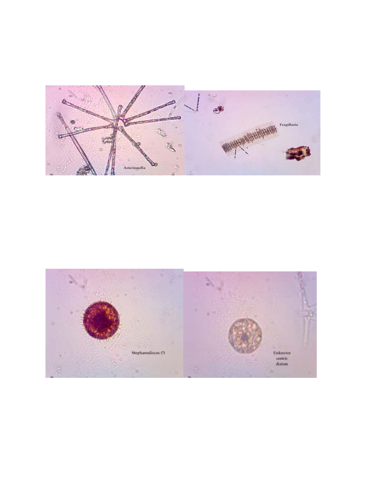